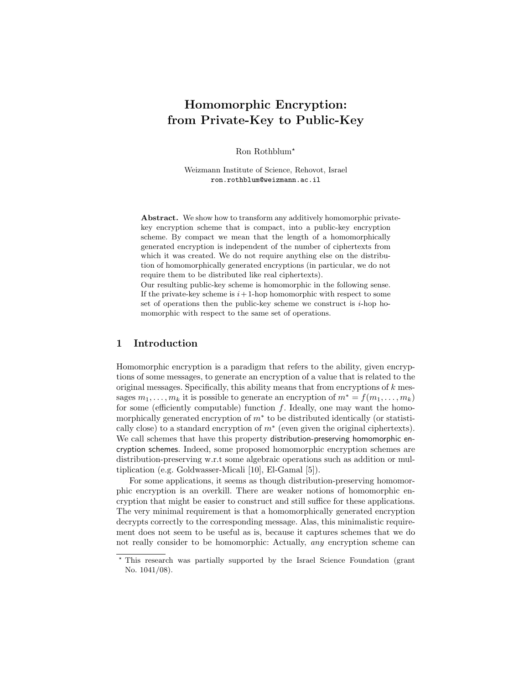# Homomorphic Encryption: from Private-Key to Public-Key

Ron Rothblum?

Weizmann Institute of Science, Rehovot, Israel ron.rothblum@weizmann.ac.il

Abstract. We show how to transform any additively homomorphic privatekey encryption scheme that is compact, into a public-key encryption scheme. By compact we mean that the length of a homomorphically generated encryption is independent of the number of ciphertexts from which it was created. We do not require anything else on the distribution of homomorphically generated encryptions (in particular, we do not require them to be distributed like real ciphertexts).

Our resulting public-key scheme is homomorphic in the following sense. If the private-key scheme is  $i+1$ -hop homomorphic with respect to some set of operations then the public-key scheme we construct is  $i$ -hop homomorphic with respect to the same set of operations.

# 1 Introduction

Homomorphic encryption is a paradigm that refers to the ability, given encryptions of some messages, to generate an encryption of a value that is related to the original messages. Specifically, this ability means that from encryptions of  $k$  messages  $m_1, \ldots, m_k$  it is possible to generate an encryption of  $m^* = f(m_1, \ldots, m_k)$ for some (efficiently computable) function  $f$ . Ideally, one may want the homomorphically generated encryption of  $m^*$  to be distributed identically (or statistically close) to a standard encryption of  $m^*$  (even given the original ciphertexts). We call schemes that have this property distribution-preserving homomorphic encryption schemes. Indeed, some proposed homomorphic encryption schemes are distribution-preserving w.r.t some algebraic operations such as addition or multiplication (e.g. Goldwasser-Micali [10], El-Gamal [5]).

For some applications, it seems as though distribution-preserving homomorphic encryption is an overkill. There are weaker notions of homomorphic encryption that might be easier to construct and still suffice for these applications. The very minimal requirement is that a homomorphically generated encryption decrypts correctly to the corresponding message. Alas, this minimalistic requirement does not seem to be useful as is, because it captures schemes that we do not really consider to be homomorphic: Actually, *any* encryption scheme can

<sup>?</sup> This research was partially supported by the Israel Science Foundation (grant No. 1041/08).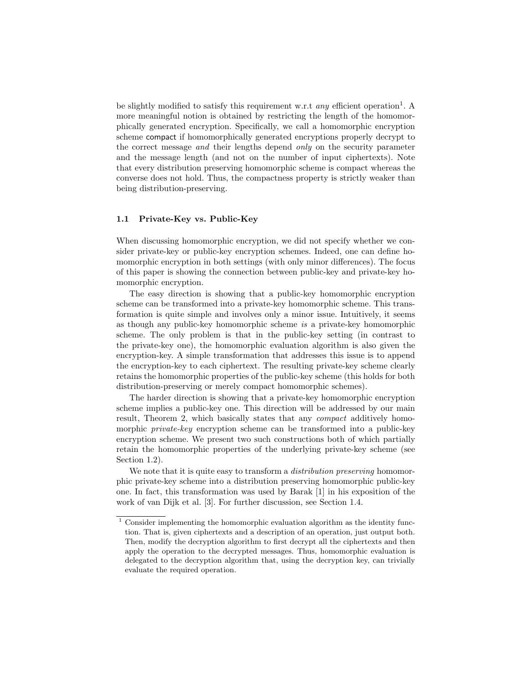be slightly modified to satisfy this requirement w.r.t *any* efficient operation<sup>1</sup>. A more meaningful notion is obtained by restricting the length of the homomorphically generated encryption. Specifically, we call a homomorphic encryption scheme compact if homomorphically generated encryptions properly decrypt to the correct message and their lengths depend only on the security parameter and the message length (and not on the number of input ciphertexts). Note that every distribution preserving homomorphic scheme is compact whereas the converse does not hold. Thus, the compactness property is strictly weaker than being distribution-preserving.

#### 1.1 Private-Key vs. Public-Key

When discussing homomorphic encryption, we did not specify whether we consider private-key or public-key encryption schemes. Indeed, one can define homomorphic encryption in both settings (with only minor differences). The focus of this paper is showing the connection between public-key and private-key homomorphic encryption.

The easy direction is showing that a public-key homomorphic encryption scheme can be transformed into a private-key homomorphic scheme. This transformation is quite simple and involves only a minor issue. Intuitively, it seems as though any public-key homomorphic scheme is a private-key homomorphic scheme. The only problem is that in the public-key setting (in contrast to the private-key one), the homomorphic evaluation algorithm is also given the encryption-key. A simple transformation that addresses this issue is to append the encryption-key to each ciphertext. The resulting private-key scheme clearly retains the homomorphic properties of the public-key scheme (this holds for both distribution-preserving or merely compact homomorphic schemes).

The harder direction is showing that a private-key homomorphic encryption scheme implies a public-key one. This direction will be addressed by our main result, Theorem 2, which basically states that any *compact* additively homomorphic *private-key* encryption scheme can be transformed into a public-key encryption scheme. We present two such constructions both of which partially retain the homomorphic properties of the underlying private-key scheme (see Section 1.2).

We note that it is quite easy to transform a *distribution preserving* homomorphic private-key scheme into a distribution preserving homomorphic public-key one. In fact, this transformation was used by Barak [1] in his exposition of the work of van Dijk et al. [3]. For further discussion, see Section 1.4.

 $1$  Consider implementing the homomorphic evaluation algorithm as the identity function. That is, given ciphertexts and a description of an operation, just output both. Then, modify the decryption algorithm to first decrypt all the ciphertexts and then apply the operation to the decrypted messages. Thus, homomorphic evaluation is delegated to the decryption algorithm that, using the decryption key, can trivially evaluate the required operation.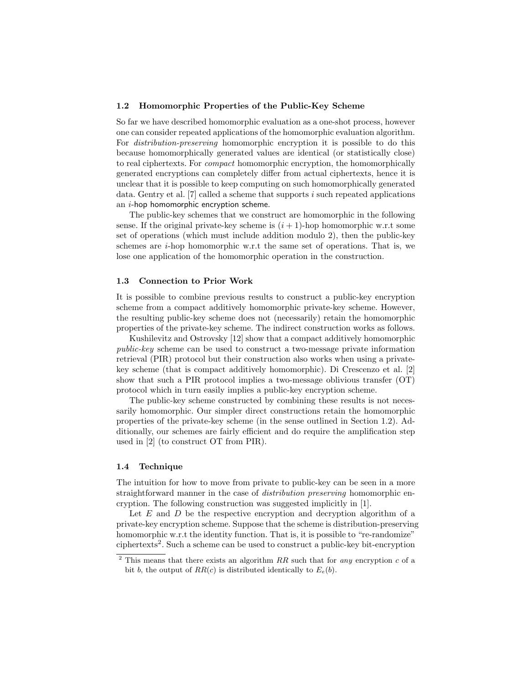#### 1.2 Homomorphic Properties of the Public-Key Scheme

So far we have described homomorphic evaluation as a one-shot process, however one can consider repeated applications of the homomorphic evaluation algorithm. For distribution-preserving homomorphic encryption it is possible to do this because homomorphically generated values are identical (or statistically close) to real ciphertexts. For compact homomorphic encryption, the homomorphically generated encryptions can completely differ from actual ciphertexts, hence it is unclear that it is possible to keep computing on such homomorphically generated data. Gentry et al. [7] called a scheme that supports i such repeated applications an *i*-hop homomorphic encryption scheme.

The public-key schemes that we construct are homomorphic in the following sense. If the original private-key scheme is  $(i + 1)$ -hop homomorphic w.r.t some set of operations (which must include addition modulo 2), then the public-key schemes are  $i$ -hop homomorphic w.r.t the same set of operations. That is, we lose one application of the homomorphic operation in the construction.

#### 1.3 Connection to Prior Work

It is possible to combine previous results to construct a public-key encryption scheme from a compact additively homomorphic private-key scheme. However, the resulting public-key scheme does not (necessarily) retain the homomorphic properties of the private-key scheme. The indirect construction works as follows.

Kushilevitz and Ostrovsky [12] show that a compact additively homomorphic public-key scheme can be used to construct a two-message private information retrieval (PIR) protocol but their construction also works when using a privatekey scheme (that is compact additively homomorphic). Di Crescenzo et al. [2] show that such a PIR protocol implies a two-message oblivious transfer (OT) protocol which in turn easily implies a public-key encryption scheme.

The public-key scheme constructed by combining these results is not necessarily homomorphic. Our simpler direct constructions retain the homomorphic properties of the private-key scheme (in the sense outlined in Section 1.2). Additionally, our schemes are fairly efficient and do require the amplification step used in [2] (to construct OT from PIR).

#### 1.4 Technique

The intuition for how to move from private to public-key can be seen in a more straightforward manner in the case of distribution preserving homomorphic encryption. The following construction was suggested implicitly in [1].

Let  $E$  and  $D$  be the respective encryption and decryption algorithm of a private-key encryption scheme. Suppose that the scheme is distribution-preserving homomorphic w.r.t the identity function. That is, it is possible to "re-randomize" ciphertexts<sup>2</sup> . Such a scheme can be used to construct a public-key bit-encryption

<sup>&</sup>lt;sup>2</sup> This means that there exists an algorithm RR such that for *any* encryption c of a bit b, the output of  $RR(c)$  is distributed identically to  $E_e(b)$ .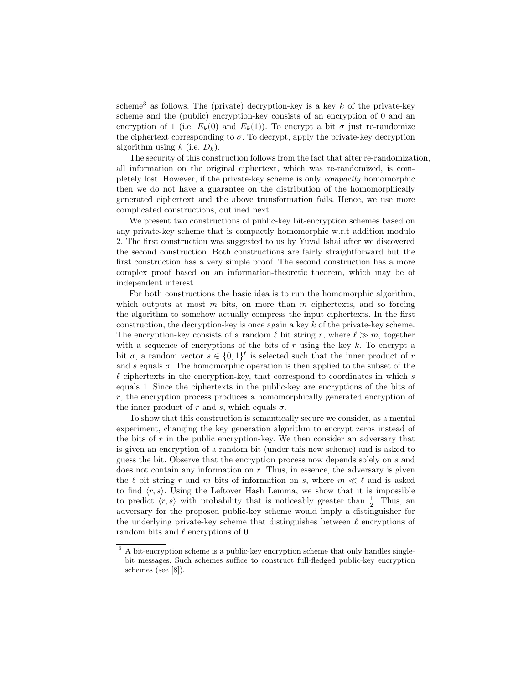scheme<sup>3</sup> as follows. The (private) decryption-key is a key k of the private-key scheme and the (public) encryption-key consists of an encryption of 0 and an encryption of 1 (i.e.  $E_k(0)$  and  $E_k(1)$ ). To encrypt a bit  $\sigma$  just re-randomize the ciphertext corresponding to  $\sigma$ . To decrypt, apply the private-key decryption algorithm using  $k$  (i.e.  $D_k$ ).

The security of this construction follows from the fact that after re-randomization, all information on the original ciphertext, which was re-randomized, is completely lost. However, if the private-key scheme is only compactly homomorphic then we do not have a guarantee on the distribution of the homomorphically generated ciphertext and the above transformation fails. Hence, we use more complicated constructions, outlined next.

We present two constructions of public-key bit-encryption schemes based on any private-key scheme that is compactly homomorphic w.r.t addition modulo 2. The first construction was suggested to us by Yuval Ishai after we discovered the second construction. Both constructions are fairly straightforward but the first construction has a very simple proof. The second construction has a more complex proof based on an information-theoretic theorem, which may be of independent interest.

For both constructions the basic idea is to run the homomorphic algorithm, which outputs at most  $m$  bits, on more than  $m$  ciphertexts, and so forcing the algorithm to somehow actually compress the input ciphertexts. In the first construction, the decryption-key is once again a key k of the private-key scheme. The encryption-key consists of a random  $\ell$  bit string r, where  $\ell \gg m$ , together with a sequence of encryptions of the bits of  $r$  using the key  $k$ . To encrypt a bit  $\sigma$ , a random vector  $s \in \{0,1\}^{\ell}$  is selected such that the inner product of r and s equals  $\sigma$ . The homomorphic operation is then applied to the subset of the  $\ell$  ciphertexts in the encryption-key, that correspond to coordinates in which s equals 1. Since the ciphertexts in the public-key are encryptions of the bits of r, the encryption process produces a homomorphically generated encryption of the inner product of r and s, which equals  $\sigma$ .

To show that this construction is semantically secure we consider, as a mental experiment, changing the key generation algorithm to encrypt zeros instead of the bits of r in the public encryption-key. We then consider an adversary that is given an encryption of a random bit (under this new scheme) and is asked to guess the bit. Observe that the encryption process now depends solely on s and does not contain any information on  $r$ . Thus, in essence, the adversary is given the  $\ell$  bit string r and m bits of information on s, where  $m \ll \ell$  and is asked to find  $\langle r, s \rangle$ . Using the Leftover Hash Lemma, we show that it is impossible to predict  $\langle r, s \rangle$  with probability that is noticeably greater than  $\frac{1}{2}$ . Thus, an adversary for the proposed public-key scheme would imply a distinguisher for the underlying private-key scheme that distinguishes between  $\ell$  encryptions of random bits and  $\ell$  encryptions of 0.

<sup>&</sup>lt;sup>3</sup> A bit-encryption scheme is a public-key encryption scheme that only handles singlebit messages. Such schemes suffice to construct full-fledged public-key encryption schemes (see [8]).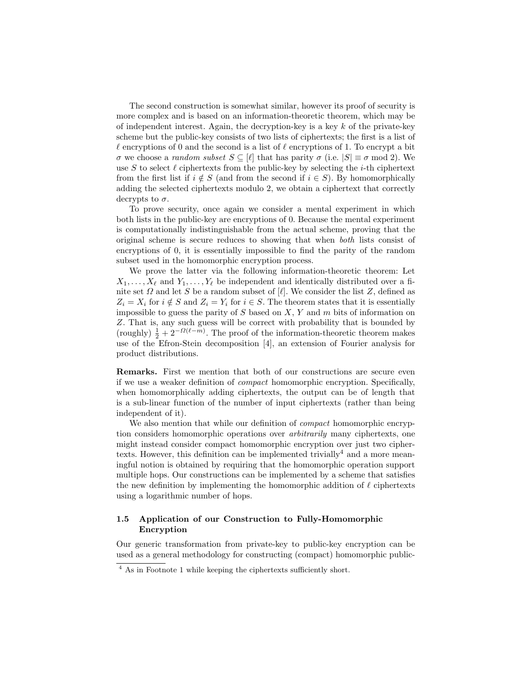The second construction is somewhat similar, however its proof of security is more complex and is based on an information-theoretic theorem, which may be of independent interest. Again, the decryption-key is a key  $k$  of the private-key scheme but the public-key consists of two lists of ciphertexts; the first is a list of  $\ell$  encryptions of 0 and the second is a list of  $\ell$  encryptions of 1. To encrypt a bit σ we choose a *random subset*  $S \subseteq [\ell]$  that has parity σ (i.e.  $|S| \equiv \sigma \mod 2$ ). We use S to select  $\ell$  ciphertexts from the public-key by selecting the *i*-th ciphertext from the first list if  $i \notin S$  (and from the second if  $i \in S$ ). By homomorphically adding the selected ciphertexts modulo 2, we obtain a ciphertext that correctly decrypts to  $\sigma$ .

To prove security, once again we consider a mental experiment in which both lists in the public-key are encryptions of 0. Because the mental experiment is computationally indistinguishable from the actual scheme, proving that the original scheme is secure reduces to showing that when both lists consist of encryptions of 0, it is essentially impossible to find the parity of the random subset used in the homomorphic encryption process.

We prove the latter via the following information-theoretic theorem: Let  $X_1, \ldots, X_\ell$  and  $Y_1, \ldots, Y_\ell$  be independent and identically distributed over a finite set  $\Omega$  and let S be a random subset of  $[\ell]$ . We consider the list Z, defined as  $Z_i = X_i$  for  $i \notin S$  and  $Z_i = Y_i$  for  $i \in S$ . The theorem states that it is essentially impossible to guess the parity of  $S$  based on  $X, Y$  and  $m$  bits of information on Z. That is, any such guess will be correct with probability that is bounded by (roughly)  $\frac{1}{2} + 2^{-\Omega(\ell-m)}$ . The proof of the information-theoretic theorem makes use of the Efron-Stein decomposition [4], an extension of Fourier analysis for product distributions.

Remarks. First we mention that both of our constructions are secure even if we use a weaker definition of compact homomorphic encryption. Specifically, when homomorphically adding ciphertexts, the output can be of length that is a sub-linear function of the number of input ciphertexts (rather than being independent of it).

We also mention that while our definition of *compact* homomorphic encryption considers homomorphic operations over arbitrarily many ciphertexts, one might instead consider compact homomorphic encryption over just two ciphertexts. However, this definition can be implemented trivially<sup>4</sup> and a more meaningful notion is obtained by requiring that the homomorphic operation support multiple hops. Our constructions can be implemented by a scheme that satisfies the new definition by implementing the homomorphic addition of  $\ell$  ciphertexts using a logarithmic number of hops.

### 1.5 Application of our Construction to Fully-Homomorphic Encryption

Our generic transformation from private-key to public-key encryption can be used as a general methodology for constructing (compact) homomorphic public-

<sup>4</sup> As in Footnote 1 while keeping the ciphertexts sufficiently short.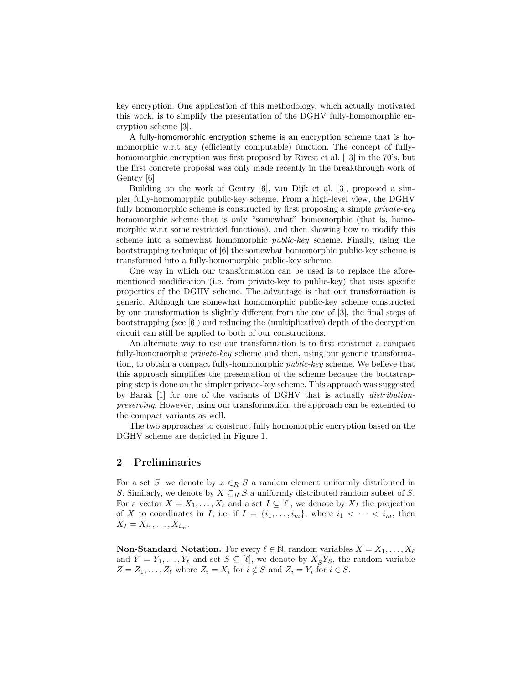key encryption. One application of this methodology, which actually motivated this work, is to simplify the presentation of the DGHV fully-homomorphic encryption scheme [3].

A fully-homomorphic encryption scheme is an encryption scheme that is homomorphic w.r.t any (efficiently computable) function. The concept of fullyhomomorphic encryption was first proposed by Rivest et al. [13] in the 70's, but the first concrete proposal was only made recently in the breakthrough work of Gentry [6].

Building on the work of Gentry [6], van Dijk et al. [3], proposed a simpler fully-homomorphic public-key scheme. From a high-level view, the DGHV fully homomorphic scheme is constructed by first proposing a simple *private-key* homomorphic scheme that is only "somewhat" homomorphic (that is, homomorphic w.r.t some restricted functions), and then showing how to modify this scheme into a somewhat homomorphic public-key scheme. Finally, using the bootstrapping technique of [6] the somewhat homomorphic public-key scheme is transformed into a fully-homomorphic public-key scheme.

One way in which our transformation can be used is to replace the aforementioned modification (i.e. from private-key to public-key) that uses specific properties of the DGHV scheme. The advantage is that our transformation is generic. Although the somewhat homomorphic public-key scheme constructed by our transformation is slightly different from the one of [3], the final steps of bootstrapping (see [6]) and reducing the (multiplicative) depth of the decryption circuit can still be applied to both of our constructions.

An alternate way to use our transformation is to first construct a compact fully-homomorphic *private-key* scheme and then, using our generic transformation, to obtain a compact fully-homomorphic public-key scheme. We believe that this approach simplifies the presentation of the scheme because the bootstrapping step is done on the simpler private-key scheme. This approach was suggested by Barak [1] for one of the variants of DGHV that is actually distributionpreserving. However, using our transformation, the approach can be extended to the compact variants as well.

The two approaches to construct fully homomorphic encryption based on the DGHV scheme are depicted in Figure 1.

# 2 Preliminaries

For a set S, we denote by  $x \in_R S$  a random element uniformly distributed in S. Similarly, we denote by  $X \subseteq_R S$  a uniformly distributed random subset of S. For a vector  $X = X_1, \ldots, X_\ell$  and a set  $I \subseteq [\ell]$ , we denote by  $X_I$  the projection of X to coordinates in I; i.e. if  $I = \{i_1, \ldots, i_m\}$ , where  $i_1 < \cdots < i_m$ , then  $X_I = X_{i_1}, \ldots, X_{i_m}.$ 

**Non-Standard Notation.** For every  $\ell \in \mathbb{N}$ , random variables  $X = X_1, \ldots, X_\ell$ and  $Y = Y_1, \ldots, Y_\ell$  and set  $S \subseteq [\ell],$  we denote by  $X_{\overline{S}}Y_S$ , the random variable  $Z = Z_1, \ldots, Z_\ell$  where  $Z_i = X_i$  for  $i \notin S$  and  $Z_i = Y_i$  for  $i \in S$ .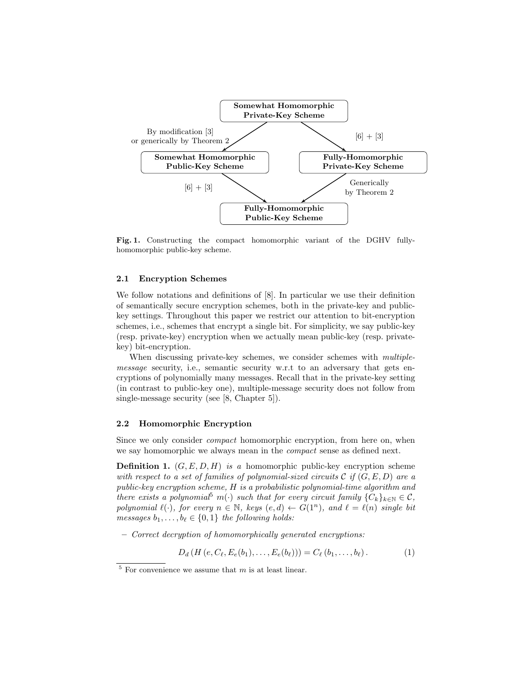

Fig. 1. Constructing the compact homomorphic variant of the DGHV fullyhomomorphic public-key scheme.

#### 2.1 Encryption Schemes

We follow notations and definitions of [8]. In particular we use their definition of semantically secure encryption schemes, both in the private-key and publickey settings. Throughout this paper we restrict our attention to bit-encryption schemes, i.e., schemes that encrypt a single bit. For simplicity, we say public-key (resp. private-key) encryption when we actually mean public-key (resp. privatekey) bit-encryption.

When discussing private-key schemes, we consider schemes with *multiple*message security, i.e., semantic security w.r.t to an adversary that gets encryptions of polynomially many messages. Recall that in the private-key setting (in contrast to public-key one), multiple-message security does not follow from single-message security (see [8, Chapter 5]).

#### 2.2 Homomorphic Encryption

Since we only consider compact homomorphic encryption, from here on, when we say homomorphic we always mean in the compact sense as defined next.

**Definition 1.**  $(G, E, D, H)$  is a homomorphic public-key encryption scheme with respect to a set of families of polynomial-sized circuits  $\mathcal{C}$  if  $(G, E, D)$  are a public-key encryption scheme, H is a probabilistic polynomial-time algorithm and there exists a polynomial<sup>5</sup> m(·) such that for every circuit family  ${C_k}_{k \in \mathbb{N}} \in \mathcal{C}$ , polynomial  $\ell(\cdot)$ , for every  $n \in \mathbb{N}$ , keys  $(e, d) \leftarrow G(1^n)$ , and  $\ell = \ell(n)$  single bit messages  $b_1, \ldots, b_\ell \in \{0, 1\}$  the following holds:

– Correct decryption of homomorphically generated encryptions:

$$
D_d(H(e, C_{\ell}, E_e(b_1), \dots, E_e(b_{\ell}))) = C_{\ell}(b_1, \dots, b_{\ell}).
$$
 (1)

 $5$  For convenience we assume that m is at least linear.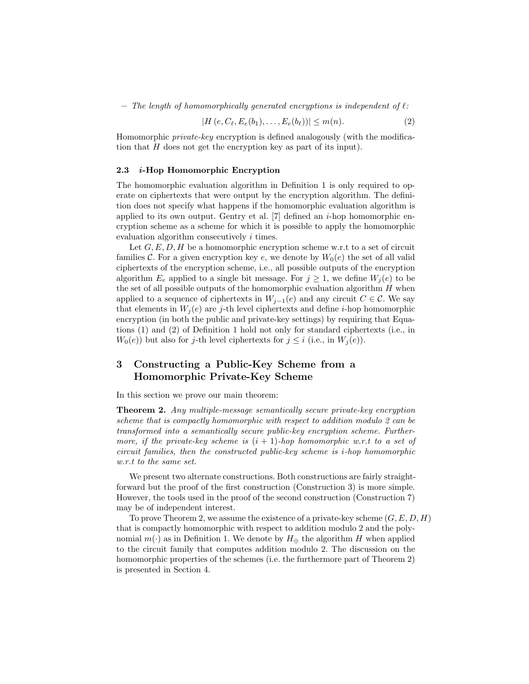– The length of homomorphically generated encryptions is independent of  $\ell$ :

$$
|H(e, C_{\ell}, E_e(b_1), \dots, E_e(b_{\ell}))| \le m(n). \tag{2}
$$

Homomorphic private-key encryption is defined analogously (with the modification that H does not get the encryption key as part of its input).

#### 2.3 i-Hop Homomorphic Encryption

The homomorphic evaluation algorithm in Definition 1 is only required to operate on ciphertexts that were output by the encryption algorithm. The definition does not specify what happens if the homomorphic evaluation algorithm is applied to its own output. Gentry et al. [7] defined an *i*-hop homomorphic encryption scheme as a scheme for which it is possible to apply the homomorphic evaluation algorithm consecutively i times.

Let  $G, E, D, H$  be a homomorphic encryption scheme w.r.t to a set of circuit families C. For a given encryption key e, we denote by  $W_0(e)$  the set of all valid ciphertexts of the encryption scheme, i.e., all possible outputs of the encryption algorithm  $E_e$  applied to a single bit message. For  $j \geq 1$ , we define  $W_j(e)$  to be the set of all possible outputs of the homomorphic evaluation algorithm  $H$  when applied to a sequence of ciphertexts in  $W_{j-1}(e)$  and any circuit  $C \in \mathcal{C}$ . We say that elements in  $W_i(e)$  are j-th level ciphertexts and define *i*-hop homomorphic encryption (in both the public and private-key settings) by requiring that Equations (1) and (2) of Definition 1 hold not only for standard ciphertexts (i.e., in  $W_0(e)$  but also for j-th level ciphertexts for  $j \leq i$  (i.e., in  $W_i(e)$ ).

# 3 Constructing a Public-Key Scheme from a Homomorphic Private-Key Scheme

In this section we prove our main theorem:

Theorem 2. Any multiple-message semantically secure private-key encryption scheme that is compactly homomorphic with respect to addition modulo 2 can be transformed into a semantically secure public-key encryption scheme. Furthermore, if the private-key scheme is  $(i + 1)$ -hop homomorphic w.r.t to a set of circuit families, then the constructed public-key scheme is i-hop homomorphic w.r.t to the same set.

We present two alternate constructions. Both constructions are fairly straightforward but the proof of the first construction (Construction 3) is more simple. However, the tools used in the proof of the second construction (Construction 7) may be of independent interest.

To prove Theorem 2, we assume the existence of a private-key scheme  $(G, E, D, H)$ that is compactly homomorphic with respect to addition modulo 2 and the polynomial  $m(\cdot)$  as in Definition 1. We denote by  $H_{\oplus}$  the algorithm H when applied to the circuit family that computes addition modulo 2. The discussion on the homomorphic properties of the schemes (i.e. the furthermore part of Theorem 2) is presented in Section 4.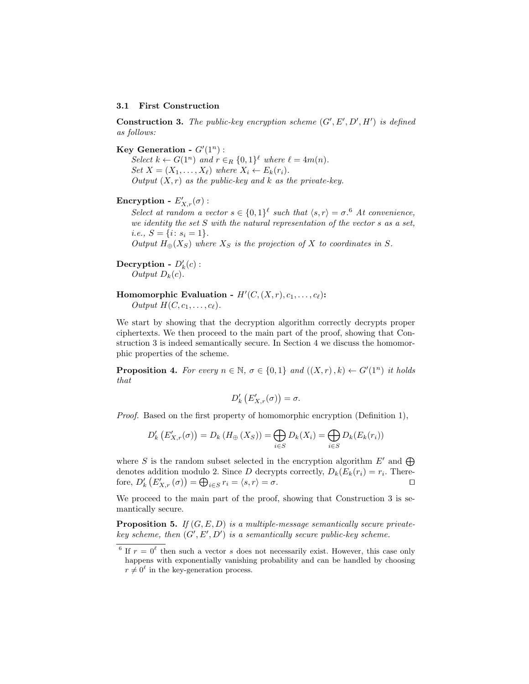#### 3.1 First Construction

**Construction 3.** The public-key encryption scheme  $(G', E', D', H')$  is defined as follows:

Key Generation -  $G'(1^n)$ : Select  $k \leftarrow G(1^n)$  and  $r \in_R \{0,1\}^{\ell}$  where  $\ell = 4m(n)$ .  $Set X = (X_1, \ldots, X_\ell)$  where  $X_i \leftarrow E_k(r_i)$ .

Output  $(X, r)$  as the public-key and k as the private-key.

# **Encryption -**  $E'_{X,r}(\sigma)$  :

Select at random a vector  $s \in \{0,1\}^{\ell}$  such that  $\langle s,r \rangle = \sigma^{.6}$  At convenience, we identity the set S with the natural representation of the vector s as a set, *i.e.*,  $S = \{i : s_i = 1\}.$ 

Output  $H_{\oplus}(X_S)$  where  $X_S$  is the projection of X to coordinates in S.

Decryption -  $D'_k(c)$ : Output  $D_k(c)$ .

Homomorphic Evaluation -  $H'(C, (X, r), c_1, \ldots, c_\ell)$ : Output  $H(C, c_1, \ldots, c_\ell)$ .

We start by showing that the decryption algorithm correctly decrypts proper ciphertexts. We then proceed to the main part of the proof, showing that Construction 3 is indeed semantically secure. In Section 4 we discuss the homomorphic properties of the scheme.

**Proposition 4.** For every  $n \in \mathbb{N}$ ,  $\sigma \in \{0,1\}$  and  $((X,r), k) \leftarrow G'(1^n)$  it holds that

$$
D'_{k}\left(E'_{X,r}(\sigma)\right) = \sigma.
$$

Proof. Based on the first property of homomorphic encryption (Definition 1),

$$
D'_{k}(E'_{X,r}(\sigma)) = D_{k}(H_{\oplus}(X_{S})) = \bigoplus_{i \in S} D_{k}(X_{i}) = \bigoplus_{i \in S} D_{k}(E_{k}(r_{i}))
$$

where S is the random subset selected in the encryption algorithm  $E'$  and  $\bigoplus$ denotes addition modulo 2. Since D decrypts correctly,  $D_k(E_k(r_i) = r_i$ . Therefore,  $D'_k(E'_{X,r}(\sigma)) = \bigoplus_{i \in S} r_i = \langle s, r \rangle = \sigma.$ 

We proceed to the main part of the proof, showing that Construction 3 is semantically secure.

**Proposition 5.** If  $(G, E, D)$  is a multiple-message semantically secure privatekey scheme, then  $(G', E', D')$  is a semantically secure public-key scheme.

<sup>&</sup>lt;sup>6</sup> If  $r = 0^{\ell}$  then such a vector s does not necessarily exist. However, this case only happens with exponentially vanishing probability and can be handled by choosing  $r \neq 0^{\ell}$  in the key-generation process.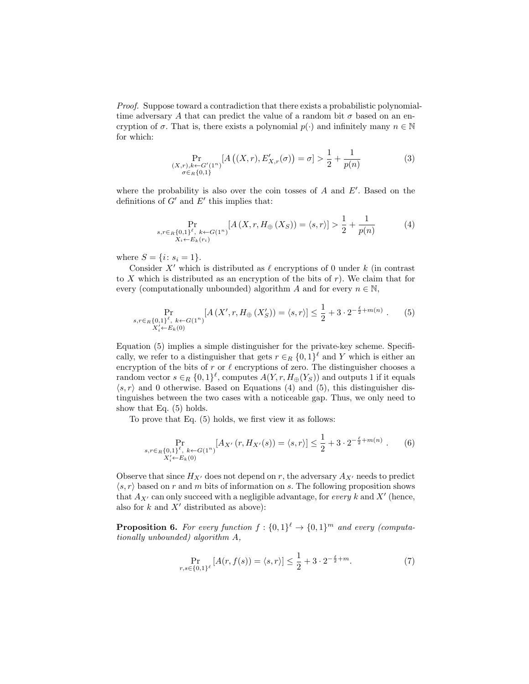Proof. Suppose toward a contradiction that there exists a probabilistic polynomialtime adversary A that can predict the value of a random bit  $\sigma$  based on an encryption of  $\sigma$ . That is, there exists a polynomial  $p(\cdot)$  and infinitely many  $n \in \mathbb{N}$ for which:

$$
\Pr_{\substack{(X,r),k \leftarrow G'(1^n) \\ \sigma \in_R \{0,1\}}} [A((X,r), E'_{X,r}(\sigma)) = \sigma] > \frac{1}{2} + \frac{1}{p(n)} \tag{3}
$$

where the probability is also over the coin tosses of  $A$  and  $E'$ . Based on the definitions of  $G'$  and  $E'$  this implies that:

$$
\Pr_{\substack{s,r \in_R \{0,1\}^{\ell}, \ k \leftarrow G(1^n) \\ X_i \leftarrow E_k(r_i)}} [A(X,r,H_{\oplus}(X_S)) = \langle s,r \rangle] > \frac{1}{2} + \frac{1}{p(n)} \tag{4}
$$

where  $S = \{i : s_i = 1\}.$ 

Consider X' which is distributed as  $\ell$  encryptions of 0 under k (in contrast to X which is distributed as an encryption of the bits of  $r$ ). We claim that for every (computationally unbounded) algorithm A and for every  $n \in \mathbb{N}$ ,

$$
\Pr_{\substack{s,r \in \mathbb{R}\{0,1\}^{\ell}, \ k \leftarrow G(1^n) \\ X'_i \leftarrow E_k(0)}} [A(X',r, H_{\oplus}(X'_S)) = \langle s,r \rangle] \le \frac{1}{2} + 3 \cdot 2^{-\frac{\ell}{2} + m(n)} \,. \tag{5}
$$

Equation (5) implies a simple distinguisher for the private-key scheme. Specifically, we refer to a distinguisher that gets  $r \in_R \{0,1\}^{\ell}$  and Y which is either an encryption of the bits of r or  $\ell$  encryptions of zero. The distinguisher chooses a random vector  $s \in_R \{0,1\}^{\ell}$ , computes  $A(Y, r, H_{\oplus}(Y_S))$  and outputs 1 if it equals  $\langle s, r \rangle$  and 0 otherwise. Based on Equations (4) and (5), this distinguisher distinguishes between the two cases with a noticeable gap. Thus, we only need to show that Eq. (5) holds.

To prove that Eq. (5) holds, we first view it as follows:

$$
\Pr_{\substack{s,r \in_R \{0,1\}^\ell, \ k \leftarrow G(1^n) \\ X'_i \leftarrow E_k(0)}} [A_{X'}(r, H_{X'}(s)) = \langle s, r \rangle] \le \frac{1}{2} + 3 \cdot 2^{-\frac{\ell}{2} + m(n)} \,. \tag{6}
$$

Observe that since  $H_{X'}$  does not depend on r, the adversary  $A_{X'}$  needs to predict  $\langle s, r \rangle$  based on r and m bits of information on s. The following proposition shows that  $A_{X'}$  can only succeed with a negligible advantage, for every k and X' (hence, also for  $k$  and  $X'$  distributed as above):

**Proposition 6.** For every function  $f: \{0,1\}^{\ell} \to \{0,1\}^m$  and every (computationally unbounded) algorithm A,

$$
\Pr_{r,s \in \{0,1\}^\ell} \left[ A(r,f(s)) = \langle s,r \rangle \right] \le \frac{1}{2} + 3 \cdot 2^{-\frac{\ell}{2} + m}.\tag{7}
$$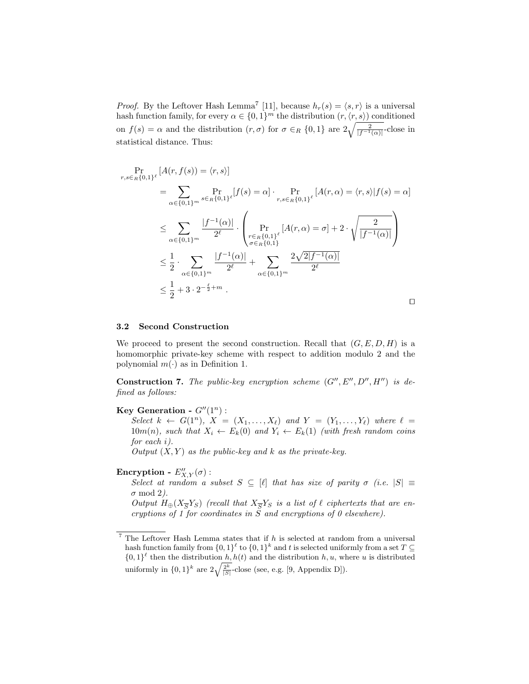*Proof.* By the Leftover Hash Lemma<sup>7</sup> [11], because  $h_r(s) = \langle s, r \rangle$  is a universal hash function family, for every  $\alpha \in \{0,1\}^m$  the distribution  $(r,\langle r,s \rangle)$  conditioned on  $f(s) = \alpha$  and the distribution  $(r, \sigma)$  for  $\sigma \in_R \{0, 1\}$  are  $2\sqrt{\frac{2}{|f^{-1}(\alpha)|}}$ -close in statistical distance. Thus:

$$
\Pr_{r,s \in_R \{0,1\}^{\ell}} [A(r, f(s)) = \langle r, s \rangle]
$$
\n
$$
= \sum_{\alpha \in \{0,1\}^m} \Pr_{s \in_R \{0,1\}^{\ell}} [f(s) = \alpha] \cdot \Pr_{r,s \in_R \{0,1\}^{\ell}} [A(r, \alpha) = \langle r, s \rangle | f(s) = \alpha]
$$
\n
$$
\leq \sum_{\alpha \in \{0,1\}^m} \frac{|f^{-1}(\alpha)|}{2^{\ell}} \cdot \left( \Pr_{r \in_R \{0,1\}^{\ell}} [A(r, \alpha) = \sigma] + 2 \cdot \sqrt{\frac{2}{|f^{-1}(\alpha)|}} \right)
$$
\n
$$
\leq \frac{1}{2} \cdot \sum_{\alpha \in \{0,1\}^m} \frac{|f^{-1}(\alpha)|}{2^{\ell}} + \sum_{\alpha \in \{0,1\}^m} \frac{2\sqrt{2|f^{-1}(\alpha)|}}{2^{\ell}}
$$
\n
$$
\leq \frac{1}{2} + 3 \cdot 2^{-\frac{\ell}{2} + m} .
$$

#### 3.2 Second Construction

We proceed to present the second construction. Recall that  $(G, E, D, H)$  is a homomorphic private-key scheme with respect to addition modulo 2 and the polynomial  $m(\cdot)$  as in Definition 1.

**Construction 7.** The public-key encryption scheme  $(G'', E'', D'', H'')$  is defined as follows:

Key Generation -  $G''(1^n)$  :

Select  $k \leftarrow G(1^n)$ ,  $X = (X_1, \ldots, X_\ell)$  and  $Y = (Y_1, \ldots, Y_\ell)$  where  $\ell =$  $10m(n)$ , such that  $X_i \leftarrow E_k(0)$  and  $Y_i \leftarrow E_k(1)$  (with fresh random coins for each i).

Output  $(X, Y)$  as the public-key and k as the private-key.

# **Encryption -**  $E''_{X,Y}(\sigma)$  :

Select at random a subset  $S \subseteq [\ell]$  that has size of parity  $\sigma$  (i.e.  $|S| \equiv$  $\sigma$  mod 2).

Output  $H_{\oplus}(X_{\overline{S}}Y_S)$  (recall that  $X_{\overline{S}}Y_S$  is a list of  $\ell$  ciphertexts that are encryptions of 1 for coordinates in S and encryptions of 0 elsewhere).

 $\frac{7}{7}$  The Leftover Hash Lemma states that if h is selected at random from a universal hash function family from  $\{0,1\}^{\ell}$  to  $\{0,1\}^k$  and t is selected uniformly from a set  $T \subseteq$  ${0,1}^{\ell}$  then the distribution  $h, h(t)$  and the distribution  $h, u$ , where u is distributed uniformly in  $\{0,1\}^k$  are  $2\sqrt{\frac{2^k}{|S|}}$ -close (see, e.g. [9, Appendix D]).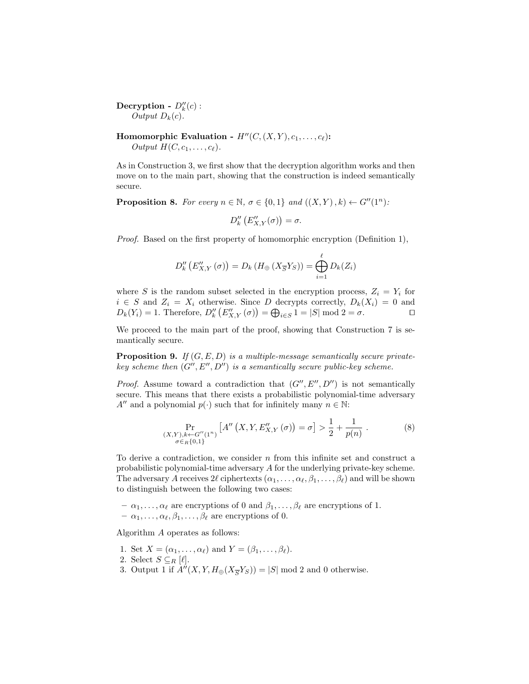Decryption -  $D_k''(c)$ : Output  $D_k(c)$ .

Homomorphic Evaluation -  $H''(C,(X, Y), c_1, \ldots, c_\ell)$ :

Output  $H(C, c_1, \ldots, c_\ell)$ .

As in Construction 3, we first show that the decryption algorithm works and then move on to the main part, showing that the construction is indeed semantically secure.

**Proposition 8.** For every  $n \in \mathbb{N}$ ,  $\sigma \in \{0,1\}$  and  $((X,Y), k) \leftarrow G''(1^n)$ :

$$
D_k''\left(E_{X,Y}''(\sigma)\right) = \sigma.
$$

Proof. Based on the first property of homomorphic encryption (Definition 1),

$$
D_{k}''\left(E_{X,Y}''\left(\sigma\right)\right) = D_{k}\left(H_{\oplus}\left(X_{\overline{S}}Y_{S}\right)\right) = \bigoplus_{i=1}^{\ell} D_{k}(Z_{i})
$$

where S is the random subset selected in the encryption process,  $Z_i = Y_i$  for  $i \in S$  and  $Z_i = X_i$  otherwise. Since D decrypts correctly,  $D_k(X_i) = 0$  and  $D_k(Y_i) = 1$ . Therefore,  $D_k''(E_{X,Y}''(\sigma)) = \bigoplus_{i \in S} 1 = |S| \text{ mod } 2 = \sigma$ .

We proceed to the main part of the proof, showing that Construction 7 is semantically secure.

**Proposition 9.** If  $(G, E, D)$  is a multiple-message semantically secure privatekey scheme then  $(G'', E'', D'')$  is a semantically secure public-key scheme.

*Proof.* Assume toward a contradiction that  $(G'', E'', D'')$  is not semantically secure. This means that there exists a probabilistic polynomial-time adversary A'' and a polynomial  $p(\cdot)$  such that for infinitely many  $n \in \mathbb{N}$ :

$$
\Pr_{\substack{(X,Y),k \leftarrow G''(1^n) \\ \sigma \in_R \{0,1\}}} \left[ A''\left(X,Y,E''_{X,Y}\left(\sigma\right)\right) = \sigma \right] > \frac{1}{2} + \frac{1}{p(n)} \,. \tag{8}
$$

To derive a contradiction, we consider n from this infinite set and construct a probabilistic polynomial-time adversary A for the underlying private-key scheme. The adversary A receives  $2\ell$  ciphertexts  $(\alpha_1, \ldots, \alpha_\ell, \beta_1, \ldots, \beta_\ell)$  and will be shown to distinguish between the following two cases:

 $-\alpha_1, \ldots, \alpha_\ell$  are encryptions of 0 and  $\beta_1, \ldots, \beta_\ell$  are encryptions of 1.  $- \alpha_1, \ldots, \alpha_\ell, \beta_1, \ldots, \beta_\ell$  are encryptions of 0.

Algorithm A operates as follows:

- 1. Set  $X = (\alpha_1, \ldots, \alpha_\ell)$  and  $Y = (\beta_1, \ldots, \beta_\ell)$ .
- 2. Select  $S \subseteq_R [\ell].$
- 3. Output 1 if  $A''(X, Y, H_{\oplus}(X_{\overline{S}}Y_S)) = |S| \mod 2$  and 0 otherwise.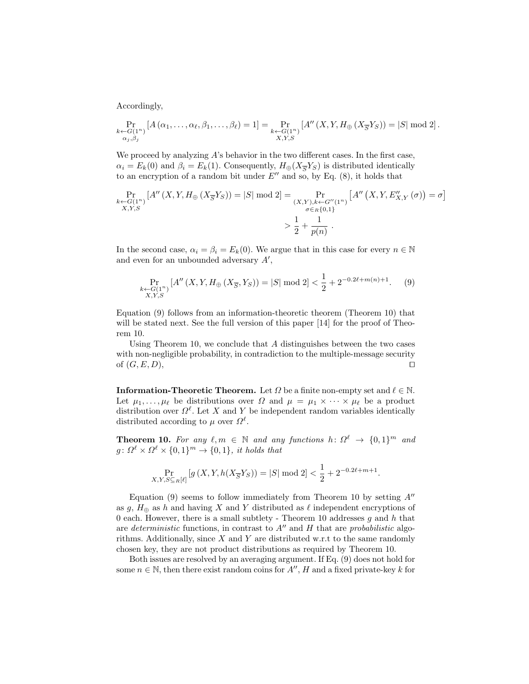Accordingly,

$$
\Pr_{\substack{k \leftarrow G(1^n) \\ \alpha_j, \beta_j}} \left[ A(\alpha_1, \dots, \alpha_\ell, \beta_1, \dots, \beta_\ell) = 1 \right] = \Pr_{\substack{k \leftarrow G(1^n) \\ X, Y, S}} \left[ A''(X, Y, H_{\oplus}(X_{\overline{S}} Y_S)) = |S| \bmod 2 \right].
$$

We proceed by analyzing  $A$ 's behavior in the two different cases. In the first case,  $\alpha_i = E_k(0)$  and  $\beta_i = E_k(1)$ . Consequently,  $H_{\oplus}(X_{\overline{S}}Y_S)$  is distributed identically to an encryption of a random bit under  $E''$  and so, by Eq. (8), it holds that

$$
\Pr_{\substack{k \leftarrow G(1^n) \\ X,Y,S}} [A''(X,Y,H_{\oplus}(X_{\overline{S}}Y_S)) = |S| \bmod 2] = \Pr_{\substack{(X,Y),k \leftarrow G''(1^n) \\ \sigma \in_R \{0,1\}}} [A''(X,Y,E''_{X,Y}(\sigma)) = \sigma]
$$
  

$$
> \frac{1}{2} + \frac{1}{p(n)}.
$$

In the second case,  $\alpha_i = \beta_i = E_k(0)$ . We argue that in this case for every  $n \in \mathbb{N}$ and even for an unbounded adversary  $A'$ ,

$$
\Pr_{\substack{k \leftarrow G(1^n) \\ X, Y, S}} \left[ A''\left(X, Y, H_{\oplus}\left(X_{\overline{S}}, Y_S\right)\right) = |S| \bmod 2 \right] < \frac{1}{2} + 2^{-0.2\ell + m(n) + 1}.\tag{9}
$$

Equation (9) follows from an information-theoretic theorem (Theorem 10) that will be stated next. See the full version of this paper [14] for the proof of Theorem 10.

Using Theorem 10, we conclude that  $A$  distinguishes between the two cases with non-negligible probability, in contradiction to the multiple-message security of  $(G, E, D)$ ,

**Information-Theoretic Theorem.** Let  $\Omega$  be a finite non-empty set and  $\ell \in \mathbb{N}$ . Let  $\mu_1, \ldots, \mu_\ell$  be distributions over  $\Omega$  and  $\mu = \mu_1 \times \cdots \times \mu_\ell$  be a product distribution over  $\Omega^{\ell}$ . Let X and Y be independent random variables identically distributed according to  $\mu$  over  $\Omega^{\ell}$ .

**Theorem 10.** For any  $\ell, m \in \mathbb{N}$  and any functions  $h: \Omega^{\ell} \to \{0,1\}^m$  and  $g \colon \Omega^{\ell} \times \Omega^{\ell} \times \{0,1\}^m \to \{0,1\},\; it\; holds\; that$ 

$$
\Pr_{X,Y,S \subseteq R[\ell]} \left[ g\left(X,Y,h(X_{\overline{S}}Y_S)\right) = |S| \bmod 2 \right] < \frac{1}{2} + 2^{-0.2\ell + m + 1}.
$$

Equation (9) seems to follow immediately from Theorem 10 by setting  $A''$ as g,  $H_{\oplus}$  as h and having X and Y distributed as  $\ell$  independent encryptions of 0 each. However, there is a small subtlety - Theorem 10 addresses  $g$  and  $h$  that are *deterministic* functions, in contrast to  $A''$  and H that are probabilistic algorithms. Additionally, since  $X$  and  $Y$  are distributed w.r.t to the same randomly chosen key, they are not product distributions as required by Theorem 10.

Both issues are resolved by an averaging argument. If Eq. (9) does not hold for some  $n \in \mathbb{N}$ , then there exist random coins for  $A''$ , H and a fixed private-key k for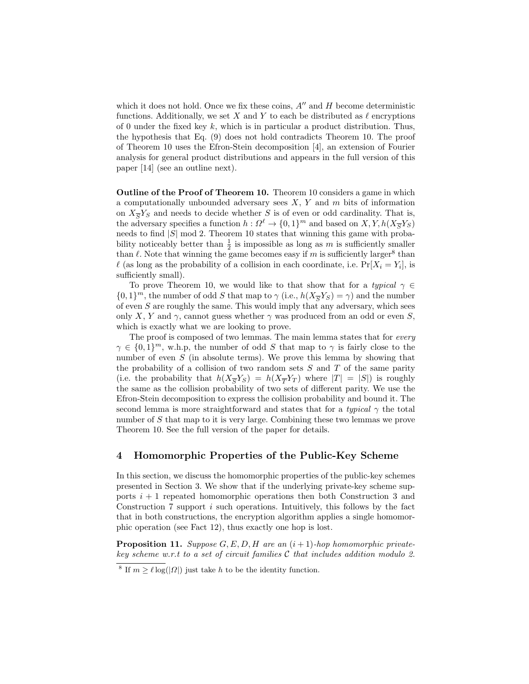which it does not hold. Once we fix these coins,  $A''$  and  $H$  become deterministic functions. Additionally, we set X and Y to each be distributed as  $\ell$  encryptions of 0 under the fixed key  $k$ , which is in particular a product distribution. Thus, the hypothesis that Eq. (9) does not hold contradicts Theorem 10. The proof of Theorem 10 uses the Efron-Stein decomposition [4], an extension of Fourier analysis for general product distributions and appears in the full version of this paper [14] (see an outline next).

Outline of the Proof of Theorem 10. Theorem 10 considers a game in which a computationally unbounded adversary sees  $X, Y$  and m bits of information on  $X_{\overline{S}}Y_S$  and needs to decide whether S is of even or odd cardinality. That is, the adversary specifies a function  $h: \Omega^{\ell} \to \{0,1\}^m$  and based on  $X, Y, h(X_{\overline{S}}Y_S)$ needs to find  $|S|$  mod 2. Theorem 10 states that winning this game with probability noticeably better than  $\frac{1}{2}$  is impossible as long as m is sufficiently smaller than  $\ell$ . Note that winning the game becomes easy if m is sufficiently larger<sup>8</sup> than  $\ell$  (as long as the probability of a collision in each coordinate, i.e.  $Pr[X_i = Y_i]$ , is sufficiently small).

To prove Theorem 10, we would like to that show that for a typical  $\gamma \in$  $\{0,1\}^m$ , the number of odd S that map to  $\gamma$  (i.e.,  $h(X_{\overline{S}}Y_S) = \gamma$ ) and the number of even  $S$  are roughly the same. This would imply that any adversary, which sees only X, Y and  $\gamma$ , cannot guess whether  $\gamma$  was produced from an odd or even S, which is exactly what we are looking to prove.

The proof is composed of two lemmas. The main lemma states that for *every*  $\gamma \in \{0,1\}^m$ , w.h.p, the number of odd S that map to  $\gamma$  is fairly close to the number of even  $S$  (in absolute terms). We prove this lemma by showing that the probability of a collision of two random sets  $S$  and  $T$  of the same parity (i.e. the probability that  $h(X_{\overline{S}}Y_S) = h(X_{\overline{T}}Y_T)$  where  $|T| = |S|$ ) is roughly the same as the collision probability of two sets of different parity. We use the Efron-Stein decomposition to express the collision probability and bound it. The second lemma is more straightforward and states that for a typical  $\gamma$  the total number of S that map to it is very large. Combining these two lemmas we prove Theorem 10. See the full version of the paper for details.

# 4 Homomorphic Properties of the Public-Key Scheme

In this section, we discuss the homomorphic properties of the public-key schemes presented in Section 3. We show that if the underlying private-key scheme supports  $i + 1$  repeated homomorphic operations then both Construction 3 and Construction 7 support  $i$  such operations. Intuitively, this follows by the fact that in both constructions, the encryption algorithm applies a single homomorphic operation (see Fact 12), thus exactly one hop is lost.

**Proposition 11.** Suppose  $G, E, D, H$  are an  $(i + 1)$ -hop homomorphic privatekey scheme w.r.t to a set of circuit families  $C$  that includes addition modulo 2.

<sup>8</sup> If  $m \geq \ell \log(|\Omega|)$  just take h to be the identity function.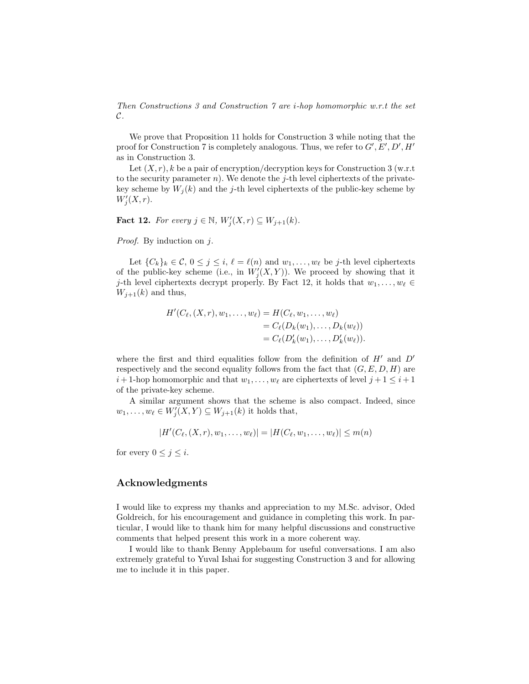Then Constructions 3 and Construction 7 are i-hop homomorphic w.r.t the set  $\mathcal{C}.$ 

We prove that Proposition 11 holds for Construction 3 while noting that the proof for Construction 7 is completely analogous. Thus, we refer to  $G', E', D', H'$ as in Construction 3.

Let  $(X, r)$ , k be a pair of encryption/decryption keys for Construction 3 (w.r.t to the security parameter  $n$ ). We denote the j-th level ciphertexts of the privatekey scheme by  $W_j(k)$  and the j-th level ciphertexts of the public-key scheme by  $W'_j(X,r)$ .

**Fact 12.** For every  $j \in \mathbb{N}$ ,  $W'_j(X,r) \subseteq W_{j+1}(k)$ .

Proof. By induction on j.

Let  $\{C_k\}_k \in \mathcal{C}, 0 \leq j \leq i, \ell = \ell(n)$  and  $w_1, \ldots, w_\ell$  be j-th level ciphertexts of the public-key scheme (i.e., in  $W'_j(X,Y)$ ). We proceed by showing that it j-th level ciphertexts decrypt properly. By Fact 12, it holds that  $w_1, \ldots, w_\ell \in$  $W_{j+1}(k)$  and thus,

$$
H'(C_{\ell}, (X, r), w_1, \dots, w_{\ell}) = H(C_{\ell}, w_1, \dots, w_{\ell})
$$
  
=  $C_{\ell}(D_k(w_1), \dots, D_k(w_{\ell}))$   
=  $C_{\ell}(D'_k(w_1), \dots, D'_k(w_{\ell})).$ 

where the first and third equalities follow from the definition of  $H'$  and  $D'$ respectively and the second equality follows from the fact that  $(G, E, D, H)$  are  $i + 1$ -hop homomorphic and that  $w_1, \ldots, w_\ell$  are ciphertexts of level  $j + 1 \leq i + 1$ of the private-key scheme.

A similar argument shows that the scheme is also compact. Indeed, since  $w_1, \ldots, w_\ell \in W'_j(X, Y) \subseteq W_{j+1}(k)$  it holds that,

$$
|H'(C_{\ell}, (X, r), w_1, \dots, w_{\ell})| = |H(C_{\ell}, w_1, \dots, w_{\ell})| \leq m(n)
$$

for every  $0 \leq j \leq i$ .

# Acknowledgments

I would like to express my thanks and appreciation to my M.Sc. advisor, Oded Goldreich, for his encouragement and guidance in completing this work. In particular, I would like to thank him for many helpful discussions and constructive comments that helped present this work in a more coherent way.

I would like to thank Benny Applebaum for useful conversations. I am also extremely grateful to Yuval Ishai for suggesting Construction 3 and for allowing me to include it in this paper.